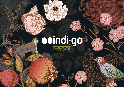# O indigativ

**RODORES**